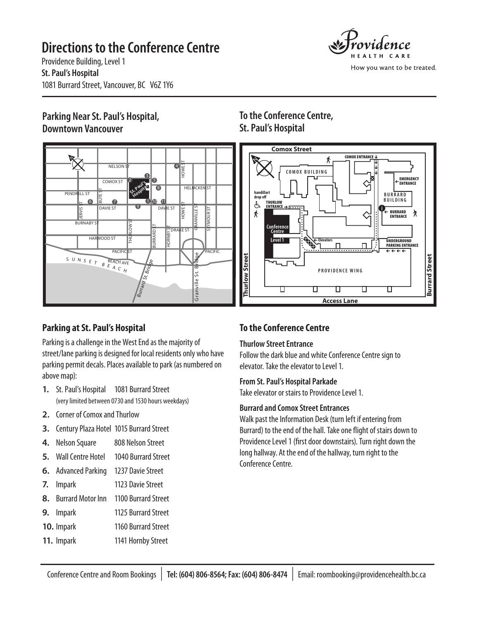# **Directions to the Conference Centre**



How you want to be treated.

Providence Building, Level 1 **St. Paul's Hospital** 1081 Burrard Street, Vancouver, BC V6Z 1Y6

### **Parking Near St. Paul's Hospital, Downtown Vancouver**



## **Parking at St. Paul's Hospital**

Parking is a challenge in the West End as the majority of street/lane parking is designed for local residents only who have parking permit decals. Places available to park (as numbered on above map):

- **1.** St. Paul's Hospital 1081 Burrard Street (very limited between 0730 and 1530 hours weekdays)
- **2.** Corner of Comox and Thurlow
- **3.** Century Plaza Hotel 1015 Burrard Street
- **4.** Nelson Square 808 Nelson Street
- **5.** Wall Centre Hotel 1040 Burrard Street
- **6.** Advanced Parking 1237 Davie Street
- **7.** Impark 1123 Davie Street
- **8.** Burrard Motor Inn 1100 Burrard Street
- **9.** Impark 1125 Burrard Street
- **10.** Impark 1160 Burrard Street
- **11.** Impark 1141 Hornby Street

## **To the Conference Centre, St. Paul's Hospital**



## **To the Conference Centre**

### **Thurlow Street Entrance**

Follow the dark blue and white Conference Centre sign to elevator. Take the elevator to Level 1.

#### **From St. Paul's Hospital Parkade**

Take elevator or stairs to Providence Level 1.

### **Burrard and Comox Street Entrances**

Walk past the Information Desk (turn left if entering from Burrard) to the end of the hall. Take one flight of stairs down to Providence Level 1 (first door downstairs). Turn right down the long hallway. At the end of the hallway, turn right to the Conference Centre.